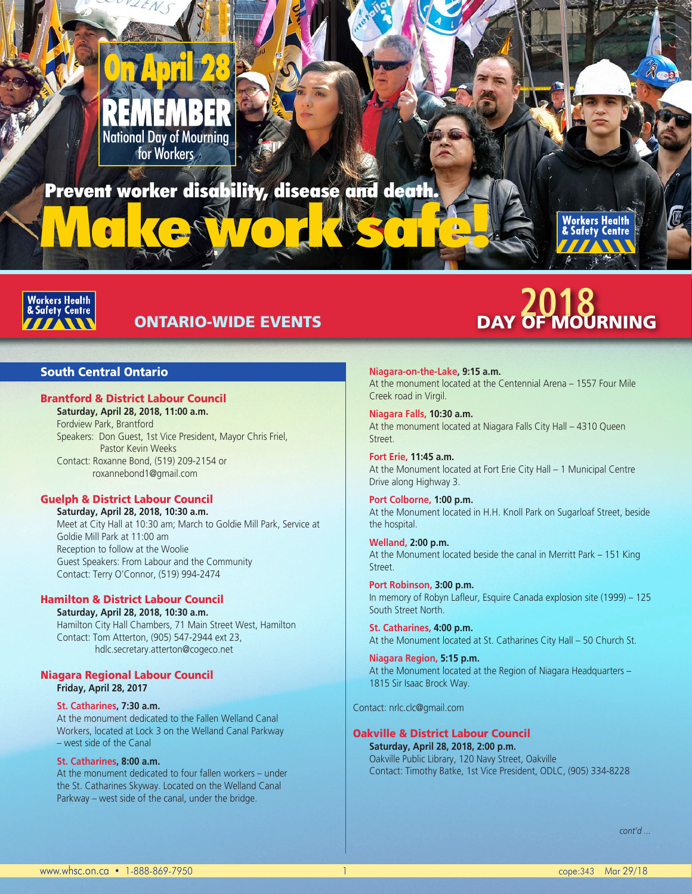# National Day of Mourning for Workers

# Prevent worker alsoolity, alsease and deam. Prevent worker disability, disease and death.



# South Central Ontario

# Brantford & District Labour Council

**Saturday, April 28, 2018, 11:00 a.m.** Fordview Park, Brantford Speakers: Don Guest, 1st Vice President, Mayor Chris Friel, Pastor Kevin Weeks Contact: Roxanne Bond, (519) 209-2154 or roxannebond1@gmail.com

# Guelph & District Labour Council

**Saturday, April 28, 2018, 10:30 a.m.** Meet at City Hall at 10:30 am; March to Goldie Mill Park, Service at Goldie Mill Park at 11:00 am Reception to follow at the Woolie Guest Speakers: From Labour and the Community Contact: Terry O'Connor, (519) 994-2474

# Hamilton & District Labour Council

**Saturday, April 28, 2018, 10:30 a.m.** Hamilton City Hall Chambers, 71 Main Street West, Hamilton Contact: Tom Atterton, (905) 547-2944 ext 23, hdlc.secretary.atterton@cogeco.net

# Niagara Regional Labour Council **Friday, April 28, 2017**

# **St. Catharines, 7:30 a.m.**

At the monument dedicated to the Fallen Welland Canal Workers, located at Lock 3 on the Welland Canal Parkway – west side of the Canal

#### **St. Catharines, 8:00 a.m.**

At the monument dedicated to four fallen workers – under the St. Catharines Skyway. Located on the Welland Canal Parkway – west side of the canal, under the bridge.

ONTARIO-WIDE EVENTS **2018** DAY OF MOURNING

**Workers Health<br>& Safety Centre** 

**Niagara-on-the-Lake, 9:15 a.m.** At the monument located at the Centennial Arena – 1557 Four Mile Creek road in Virgil.

**Niagara Falls, 10:30 a.m.** At the monument located at Niagara Falls City Hall – 4310 Queen Street.

**Fort Erie, 11:45 a.m.** At the Monument located at Fort Erie City Hall – 1 Municipal Centre Drive along Highway 3.

**Port Colborne, 1:00 p.m.** At the Monument located in H.H. Knoll Park on Sugarloaf Street, beside the hospital.

**Welland, 2:00 p.m.** At the Monument located beside the canal in Merritt Park – 151 King Street.

**Port Robinson, 3:00 p.m.** In memory of Robyn Lafleur, Esquire Canada explosion site (1999) – 125 South Street North.

**St. Catharines, 4:00 p.m.** At the Monument located at St. Catharines City Hall – 50 Church St.

**Niagara Region, 5:15 p.m.** At the Monument located at the Region of Niagara Headquarters – 1815 Sir Isaac Brock Way.

Contact: nrlc.clc@gmail.com

# Oakville & District Labour Council

**Saturday, April 28, 2018, 2:00 p.m.**  Oakville Public Library, 120 Navy Street, Oakville Contact: Timothy Batke, 1st Vice President, ODLC, (905) 334-8228

*cont'd ...*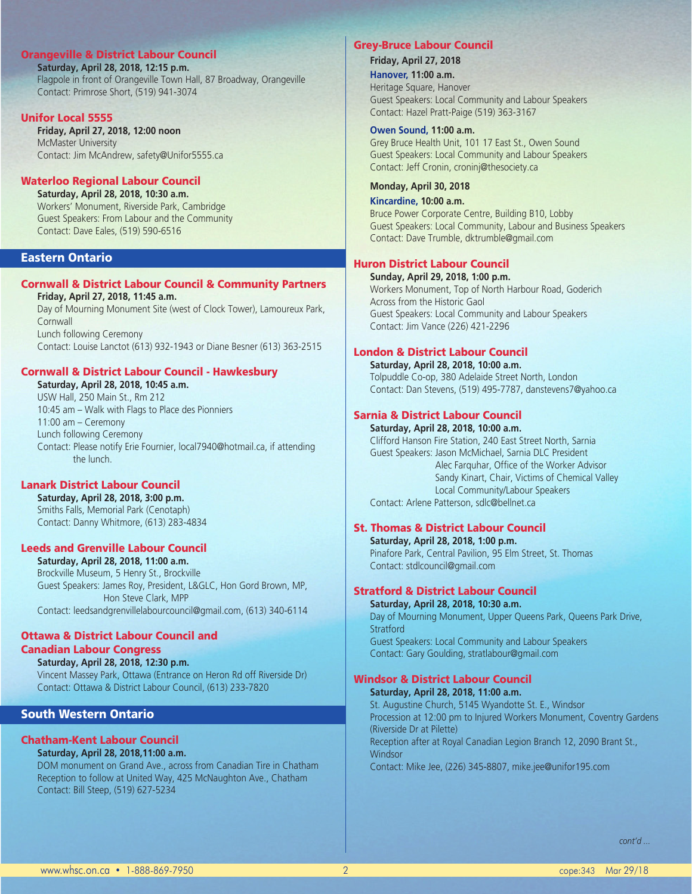# Orangeville & District Labour Council

**Saturday, April 28, 2018, 12:15 p.m.**  Flagpole in front of Orangeville Town Hall, 87 Broadway, Orangeville Contact: Primrose Short, (519) 941-3074

# Unifor Local 5555

**Friday, April 27, 2018, 12:00 noon**  McMaster University Contact: Jim McAndrew, safety@Unifor5555.ca

# Waterloo Regional Labour Council

**Saturday, April 28, 2018, 10:30 a.m.** Workers' Monument, Riverside Park, Cambridge Guest Speakers: From Labour and the Community Contact: Dave Eales, (519) 590-6516

# Eastern Ontario

#### Cornwall & District Labour Council & Community Partners **Friday, April 27, 2018, 11:45 a.m.**

Day of Mourning Monument Site (west of Clock Tower), Lamoureux Park, **Cornwall** Lunch following Ceremony Contact: Louise Lanctot (613) 932-1943 or Diane Besner (613) 363-2515

# Cornwall & District Labour Council - Hawkesbury

**Saturday, April 28, 2018, 10:45 a.m.** USW Hall, 250 Main St., Rm 212 10:45 am – Walk with Flags to Place des Pionniers 11:00 am – Ceremony Lunch following Ceremony Contact: Please notify Erie Fournier, local7940@hotmail.ca, if attending the lunch.

# Lanark District Labour Council

**Saturday, April 28, 2018, 3:00 p.m.** Smiths Falls, Memorial Park (Cenotaph) Contact: Danny Whitmore, (613) 283-4834

# Leeds and Grenville Labour Council

**Saturday, April 28, 2018, 11:00 a.m.** Brockville Museum, 5 Henry St., Brockville Guest Speakers: James Roy, President, L&GLC, Hon Gord Brown, MP, Hon Steve Clark, MPP Contact: leedsandgrenvillelabourcouncil@gmail.com, (613) 340-6114

#### Ottawa & District Labour Council and Canadian Labour Congress

**Saturday, April 28, 2018, 12:30 p.m.** Vincent Massey Park, Ottawa (Entrance on Heron Rd off Riverside Dr) Contact: Ottawa & District Labour Council, (613) 233-7820

# South Western Ontario

# Chatham-Kent Labour Council

# **Saturday, April 28, 2018,11:00 a.m.**

DOM monument on Grand Ave., across from Canadian Tire in Chatham Reception to follow at United Way, 425 McNaughton Ave., Chatham Contact: Bill Steep, (519) 627-5234

#### Grey-Bruce Labour Council

#### **Friday, April 27, 2018**

**Hanover, 11:00 a.m.** Heritage Square, Hanover Guest Speakers: Local Community and Labour Speakers Contact: Hazel Pratt-Paige (519) 363-3167

#### **Owen Sound, 11:00 a.m.**

Grey Bruce Health Unit, 101 17 East St., Owen Sound Guest Speakers: Local Community and Labour Speakers Contact: Jeff Cronin, croninj@thesociety.ca

# **Monday, April 30, 2018**

**Kincardine, 10:00 a.m.** Bruce Power Corporate Centre, Building B10, Lobby Guest Speakers: Local Community, Labour and Business Speakers Contact: Dave Trumble, dktrumble@gmail.com

# Huron District Labour Council

**Sunday, April 29, 2018, 1:00 p.m.** Workers Monument, Top of North Harbour Road, Goderich Across from the Historic Gaol Guest Speakers: Local Community and Labour Speakers Contact: Jim Vance (226) 421-2296

# London & District Labour Council

**Saturday, April 28, 2018, 10:00 a.m.** Tolpuddle Co-op, 380 Adelaide Street North, London Contact: Dan Stevens, (519) 495-7787, danstevens7@yahoo.ca

# Sarnia & District Labour Council

**Saturday, April 28, 2018, 10:00 a.m.** Clifford Hanson Fire Station, 240 East Street North, Sarnia Guest Speakers: Jason McMichael, Sarnia DLC President Alec Farquhar, Office of the Worker Advisor Sandy Kinart, Chair, Victims of Chemical Valley Local Community/Labour Speakers Contact: Arlene Patterson, sdlc@bellnet.ca

# St. Thomas & District Labour Council

**Saturday, April 28, 2018, 1:00 p.m.** Pinafore Park, Central Pavilion, 95 Elm Street, St. Thomas Contact: stdlcouncil@gmail.com

# Stratford & District Labour Council

**Saturday, April 28, 2018, 10:30 a.m.** Day of Mourning Monument, Upper Queens Park, Queens Park Drive, **Stratford** Guest Speakers: Local Community and Labour Speakers Contact: Gary Goulding, stratlabour@gmail.com

# Windsor & District Labour Council **Saturday, April 28, 2018, 11:00 a.m.**

St. Augustine Church, 5145 Wyandotte St. E., Windsor Procession at 12:00 pm to Injured Workers Monument, Coventry Gardens (Riverside Dr at Pilette) Reception after at Royal Canadian Legion Branch 12, 2090 Brant St., **Windsor** Contact: Mike Jee, (226) 345-8807, mike.jee@unifor195.com